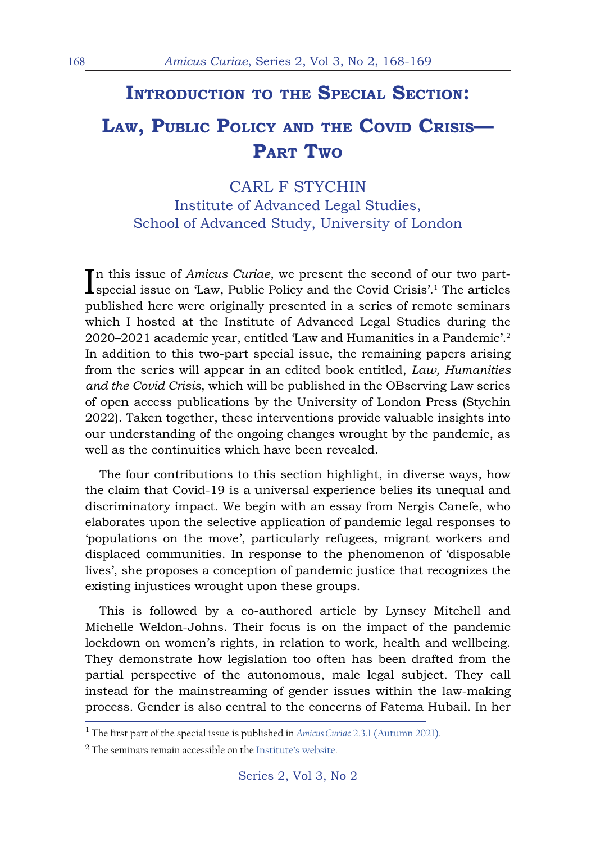## **Introduction to the Special Section:**

## **Law, Public Policy and the Covid Crisis— Part Two**

## CARL F STYCHIN

Institute of Advanced Legal Studies, School of Advanced Study, University of London

In this issue of *Amicus Curiae*, we present the second of our two part-<br>special issue on 'Law, Public Policy and the Covid Crisis'.<sup>1</sup> The articles special issue on 'Law, Public Policy and the Covid Crisis'.1 The articles published here were originally presented in a series of remote seminars which I hosted at the Institute of Advanced Legal Studies during the 2020–2021 academic year, entitled 'Law and Humanities in a Pandemic'.2 In addition to this two-part special issue, the remaining papers arising from the series will appear in an edited book entitled, *Law, Humanities and the Covid Crisis*, which will be published in the OBserving Law series of open access publications by the University of London Press (Stychin 2022). Taken together, these interventions provide valuable insights into our understanding of the ongoing changes wrought by the pandemic, as well as the continuities which have been revealed.

The four contributions to this section highlight, in diverse ways, how the claim that Covid-19 is a universal experience belies its unequal and discriminatory impact. We begin with an essay from Nergis Canefe, who elaborates upon the selective application of pandemic legal responses to 'populations on the move', particularly refugees, migrant workers and displaced communities. In response to the phenomenon of 'disposable lives', she proposes a conception of pandemic justice that recognizes the existing injustices wrought upon these groups.

This is followed by a co-authored article by Lynsey Mitchell and Michelle Weldon-Johns. Their focus is on the impact of the pandemic lockdown on women's rights, in relation to work, health and wellbeing. They demonstrate how legislation too often has been drafted from the partial perspective of the autonomous, male legal subject. They call instead for the mainstreaming of gender issues within the law-making process. Gender is also central to the concerns of Fatema Hubail. In her

<sup>1</sup> The first part of the special issue is published in *Amicus Curiae* 2.3.1 (Autumn 2021).

<sup>&</sup>lt;sup>2</sup> The seminars remain accessible on the Institute's website.